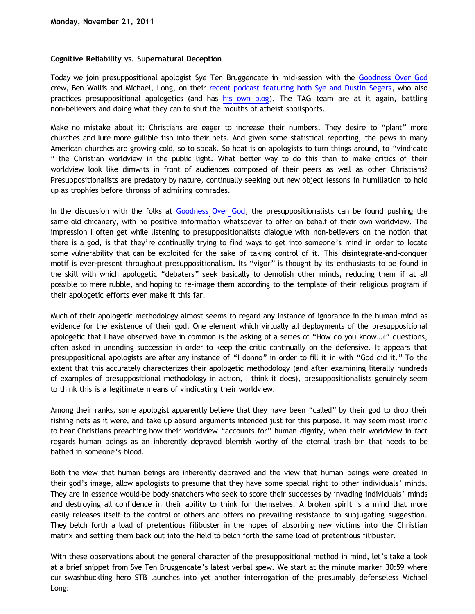## **Cognitive Reliability vs. Supernatural Deception**

Today we join presuppositional apologist Sye Ten Bruggencate in mid-session with the [Goodness Over God](http://goodnessovergod.blogspot.com/) crew, Ben Wallis and Michael, Long, on their [recent podcast featuring both Sye and Dustin Segers,](http://goodnessovergod.blogspot.com/2011/11/episode-11-special-guests-sye-ten.html) who also practices presuppositional apologetics (and has [his own blog](http://graceinthetriad.blogspot.com/)). The TAG team are at it again, battling non-believers and doing what they can to shut the mouths of atheist spoilsports.

Make no mistake about it: Christians are eager to increase their numbers. They desire to "plant" more churches and lure more gullible fish into their nets. And given some statistical reporting, the pews in many American churches are growing cold, so to speak. So heat is on apologists to turn things around, to "vindicate " the Christian worldview in the public light. What better way to do this than to make critics of their worldview look like dimwits in front of audiences composed of their peers as well as other Christians? Presuppositionalists are predatory by nature, continually seeking out new object lessons in humiliation to hold up as trophies before throngs of admiring comrades.

In the discussion with the folks at [Goodness Over God](http://goodnessovergod.blogspot.com/), the presuppositionalists can be found pushing the same old chicanery, with no positive information whatsoever to offer on behalf of their own worldview. The impression I often get while listening to presuppositionalists dialogue with non-believers on the notion that there is a god, is that they're continually trying to find ways to get into someone's mind in order to locate some vulnerability that can be exploited for the sake of taking control of it. This disintegrate-and-conquer motif is ever-present throughout presuppositionalism. Its "vigor" is thought by its enthusiasts to be found in the skill with which apologetic "debaters" seek basically to demolish other minds, reducing them if at all possible to mere rubble, and hoping to re-image them according to the template of their religious program if their apologetic efforts ever make it this far.

Much of their apologetic methodology almost seems to regard any instance of ignorance in the human mind as evidence for the existence of their god. One element which virtually all deployments of the presuppositional apologetic that I have observed have in common is the asking of a series of "How do you know…?" questions, often asked in unending succession in order to keep the critic continually on the defensive. It appears that presuppositional apologists are after any instance of "I donno" in order to fill it in with "God did it." To the extent that this accurately characterizes their apologetic methodology (and after examining literally hundreds of examples of presuppositional methodology in action, I think it does), presuppositionalists genuinely seem to think this is a legitimate means of vindicating their worldview.

Among their ranks, some apologist apparently believe that they have been "called" by their god to drop their fishing nets as it were, and take up absurd arguments intended just for this purpose. It may seem most ironic to hear Christians preaching how their worldview "accounts for" human dignity, when their worldview in fact regards human beings as an inherently depraved blemish worthy of the eternal trash bin that needs to be bathed in someone's blood.

Both the view that human beings are inherently depraved and the view that human beings were created in their god's image, allow apologists to presume that they have some special right to other individuals' minds. They are in essence would-be body-snatchers who seek to score their successes by invading individuals' minds and destroying all confidence in their ability to think for themselves. A broken spirit is a mind that more easily releases itself to the control of others and offers no prevailing resistance to subjugating suggestion. They belch forth a load of pretentious filibuster in the hopes of absorbing new victims into the Christian matrix and setting them back out into the field to belch forth the same load of pretentious filibuster.

With these observations about the general character of the presuppositional method in mind, let's take a look at a brief snippet from Sye Ten Bruggencate's latest verbal spew. We start at the minute marker 30:59 where our swashbuckling hero STB launches into yet another interrogation of the presumably defenseless Michael Long: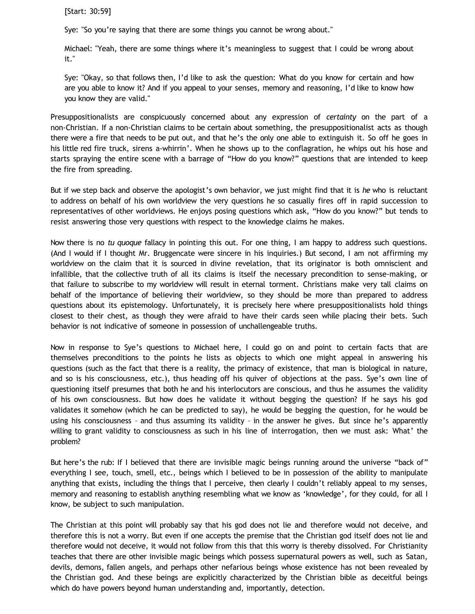[Start: 30:59]

Sye: "So you're saying that there are some things you cannot be wrong about."

Michael: "Yeah, there are some things where it's meaningless to suggest that I could be wrong about it."

Sye: "Okay, so that follows then, I'd like to ask the question: What do you know for certain and how are you able to know it? And if you appeal to your senses, memory and reasoning, I'd like to know how you know they are valid."

Presuppositionalists are conspicuously concerned about any expression of *certainty* on the part of a non-Christian. If a non-Christian claims to be certain about something, the presuppositionalist acts as though there were a fire that needs to be put out, and that he's the only one able to extinguish it. So off he goes in his little red fire truck, sirens a-whirrin'. When he shows up to the conflagration, he whips out his hose and starts spraying the entire scene with a barrage of "How do you know?" questions that are intended to keep the fire from spreading.

But if we step back and observe the apologist's own behavior, we just might find that it is *he* who is reluctant to address on behalf of his own worldview the very questions he so casually fires off in rapid succession to representatives of other worldviews. He enjoys posing questions which ask, "How do you know?" but tends to resist answering those very questions with respect to the knowledge claims he makes.

Now there is no *tu quoque* fallacy in pointing this out. For one thing, I am happy to address such questions. (And I would if I thought Mr. Bruggencate were sincere in his inquiries.) But second, I am not affirming my worldview on the claim that it is sourced in divine revelation, that its originator is both omniscient and infallible, that the collective truth of all its claims is itself the necessary precondition to sense-making, or that failure to subscribe to my worldview will result in eternal torment. Christians make very tall claims on behalf of the importance of believing their worldview, so they should be more than prepared to address questions about its epistemology. Unfortunately, it is precisely here where presuppositionalists hold things closest to their chest, as though they were afraid to have their cards seen while placing their bets. Such behavior is not indicative of someone in possession of unchallengeable truths.

Now in response to Sye's questions to Michael here, I could go on and point to certain facts that are themselves preconditions to the points he lists as objects to which one might appeal in answering his questions (such as the fact that there is a reality, the primacy of existence, that man is biological in nature, and so is his consciousness, etc.), thus heading off his quiver of objections at the pass. Sye's own line of questioning itself presumes that both he and his interlocutors are conscious, and thus he assumes the validity of his own consciousness. But how does he validate it without begging the question? If he says his god validates it somehow (which he can be predicted to say), he would be begging the question, for he would be using his consciousness – and thus assuming its validity – in the answer he gives. But since he's apparently willing to grant validity to consciousness as such in his line of interrogation, then we must ask: What' the problem?

But here's the rub: If I believed that there are invisible magic beings running around the universe "back of" everything I see, touch, smell, etc., beings which I believed to be in possession of the ability to manipulate anything that exists, including the things that I perceive, then clearly I couldn't reliably appeal to my senses, memory and reasoning to establish anything resembling what we know as 'knowledge', for they could, for all I know, be subject to such manipulation.

The Christian at this point will probably say that his god does not lie and therefore would not deceive, and therefore this is not a worry. But even if one accepts the premise that the Christian god itself does not lie and therefore would not deceive, it would not follow from this that this worry is thereby dissolved. For Christianity teaches that there are other invisible magic beings which possess supernatural powers as well, such as Satan, devils, demons, fallen angels, and perhaps other nefarious beings whose existence has not been revealed by the Christian god. And these beings are explicitly characterized by the Christian bible as deceitful beings which do have powers beyond human understanding and, importantly, detection.